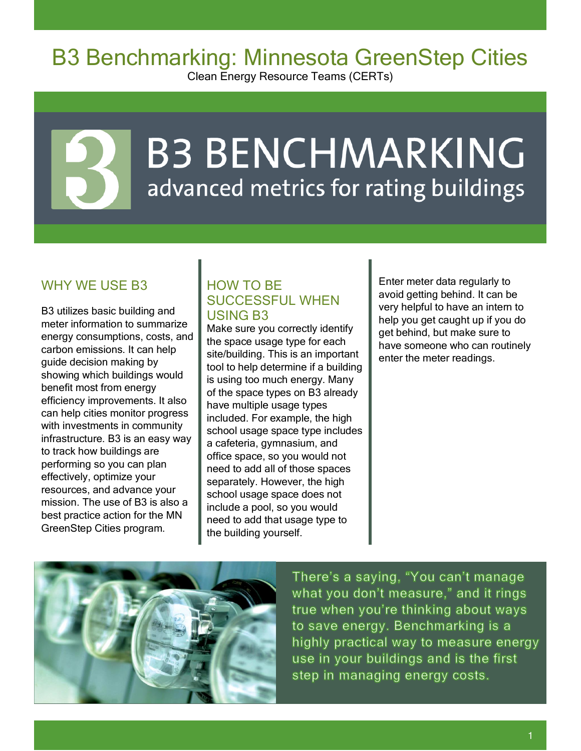## B3 Benchmarking: Minnesota GreenStep Cities

Clean Energy Resource Teams (CERTs)

# **B3 BENCHMARKING** advanced metrics for rating buildings

### WHY WE USE B3

B3 utilizes basic building and meter information to summarize energy consumptions, costs, and carbon emissions. It can help guide decision making by showing which buildings would benefit most from energy efficiency improvements. It also can help cities monitor progress with investments in community infrastructure. B3 is an easy way to track how buildings are performing so you can plan effectively, optimize your resources, and advance your mission. The use of B3 is also a best practice action for the MN GreenStep Cities program.

#### HOW TO BE SUCCESSFUL WHEN USING B3

Make sure you correctly identify the space usage type for each site/building. This is an important tool to help determine if a building is using too much energy. Many of the space types on B3 already have multiple usage types included. For example, the high school usage space type includes a cafeteria, gymnasium, and office space, so you would not need to add all of those spaces separately. However, the high school usage space does not include a pool, so you would need to add that usage type to the building yourself.

Enter meter data regularly to avoid getting behind. It can be very helpful to have an intern to help you get caught up if you do get behind, but make sure to have someone who can routinely enter the meter readings.



There's a saying, "You can't manage what you don't measure," and it rings true when you're thinking about ways to save energy. Benchmarking is a highly practical way to measure energy use in your buildings and is the first step in managing energy costs.